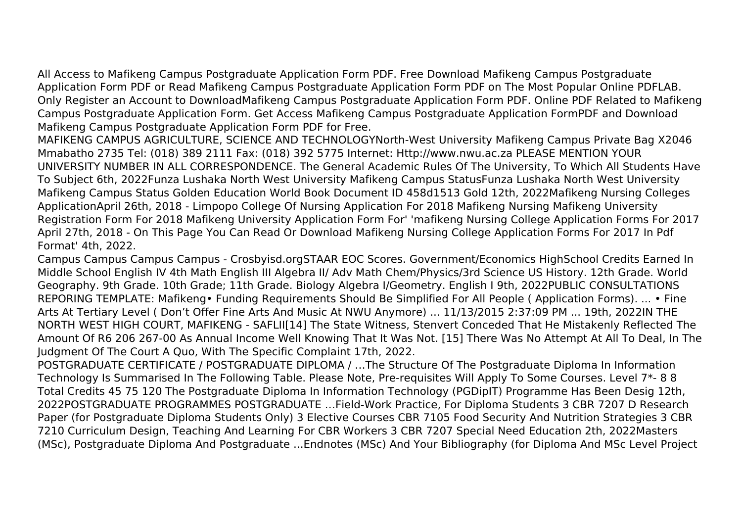All Access to Mafikeng Campus Postgraduate Application Form PDF. Free Download Mafikeng Campus Postgraduate Application Form PDF or Read Mafikeng Campus Postgraduate Application Form PDF on The Most Popular Online PDFLAB. Only Register an Account to DownloadMafikeng Campus Postgraduate Application Form PDF. Online PDF Related to Mafikeng Campus Postgraduate Application Form. Get Access Mafikeng Campus Postgraduate Application FormPDF and Download Mafikeng Campus Postgraduate Application Form PDF for Free.

MAFIKENG CAMPUS AGRICULTURE, SCIENCE AND TECHNOLOGYNorth-West University Mafikeng Campus Private Bag X2046 Mmabatho 2735 Tel: (018) 389 2111 Fax: (018) 392 5775 Internet: Http://www.nwu.ac.za PLEASE MENTION YOUR UNIVERSITY NUMBER IN ALL CORRESPONDENCE. The General Academic Rules Of The University, To Which All Students Have To Subject 6th, 2022Funza Lushaka North West University Mafikeng Campus StatusFunza Lushaka North West University Mafikeng Campus Status Golden Education World Book Document ID 458d1513 Gold 12th, 2022Mafikeng Nursing Colleges ApplicationApril 26th, 2018 - Limpopo College Of Nursing Application For 2018 Mafikeng Nursing Mafikeng University Registration Form For 2018 Mafikeng University Application Form For' 'mafikeng Nursing College Application Forms For 2017 April 27th, 2018 - On This Page You Can Read Or Download Mafikeng Nursing College Application Forms For 2017 In Pdf Format' 4th, 2022.

Campus Campus Campus Campus - Crosbyisd.orgSTAAR EOC Scores. Government/Economics HighSchool Credits Earned In Middle School English IV 4th Math English III Algebra II/ Adv Math Chem/Physics/3rd Science US History. 12th Grade. World Geography. 9th Grade. 10th Grade; 11th Grade. Biology Algebra I/Geometry. English I 9th, 2022PUBLIC CONSULTATIONS REPORING TEMPLATE: Mafikeng• Funding Requirements Should Be Simplified For All People ( Application Forms). ... • Fine Arts At Tertiary Level ( Don't Offer Fine Arts And Music At NWU Anymore) ... 11/13/2015 2:37:09 PM ... 19th, 2022IN THE NORTH WEST HIGH COURT, MAFIKENG - SAFLII[14] The State Witness, Stenvert Conceded That He Mistakenly Reflected The Amount Of R6 206 267-00 As Annual Income Well Knowing That It Was Not. [15] There Was No Attempt At All To Deal, In The Judgment Of The Court A Quo, With The Specific Complaint 17th, 2022.

POSTGRADUATE CERTIFICATE / POSTGRADUATE DIPLOMA / …The Structure Of The Postgraduate Diploma In Information Technology Is Summarised In The Following Table. Please Note, Pre-requisites Will Apply To Some Courses. Level 7\*- 8 8 Total Credits 45 75 120 The Postgraduate Diploma In Information Technology (PGDipIT) Programme Has Been Desig 12th, 2022POSTGRADUATE PROGRAMMES POSTGRADUATE …Field-Work Practice, For Diploma Students 3 CBR 7207 D Research Paper (for Postgraduate Diploma Students Only) 3 Elective Courses CBR 7105 Food Security And Nutrition Strategies 3 CBR 7210 Curriculum Design, Teaching And Learning For CBR Workers 3 CBR 7207 Special Need Education 2th, 2022Masters (MSc), Postgraduate Diploma And Postgraduate ...Endnotes (MSc) And Your Bibliography (for Diploma And MSc Level Project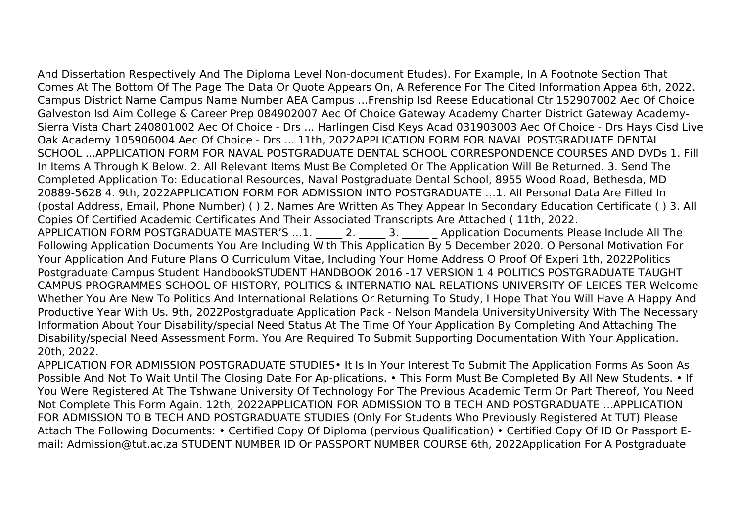And Dissertation Respectively And The Diploma Level Non-document Etudes). For Example, In A Footnote Section That Comes At The Bottom Of The Page The Data Or Quote Appears On, A Reference For The Cited Information Appea 6th, 2022. Campus District Name Campus Name Number AEA Campus …Frenship Isd Reese Educational Ctr 152907002 Aec Of Choice Galveston Isd Aim College & Career Prep 084902007 Aec Of Choice Gateway Academy Charter District Gateway Academy-Sierra Vista Chart 240801002 Aec Of Choice - Drs ... Harlingen Cisd Keys Acad 031903003 Aec Of Choice - Drs Hays Cisd Live Oak Academy 105906004 Aec Of Choice - Drs ... 11th, 2022APPLICATION FORM FOR NAVAL POSTGRADUATE DENTAL SCHOOL ...APPLICATION FORM FOR NAVAL POSTGRADUATE DENTAL SCHOOL CORRESPONDENCE COURSES AND DVDs 1. Fill In Items A Through K Below. 2. All Relevant Items Must Be Completed Or The Application Will Be Returned. 3. Send The Completed Application To: Educational Resources, Naval Postgraduate Dental School, 8955 Wood Road, Bethesda, MD 20889-5628 4. 9th, 2022APPLICATION FORM FOR ADMISSION INTO POSTGRADUATE …1. All Personal Data Are Filled In (postal Address, Email, Phone Number) ( ) 2. Names Are Written As They Appear In Secondary Education Certificate ( ) 3. All Copies Of Certified Academic Certificates And Their Associated Transcripts Are Attached ( 11th, 2022. APPLICATION FORM POSTGRADUATE MASTER'S …1. \_\_\_\_\_ 2. \_\_\_\_\_ 3. \_\_\_\_\_ \_ Application Documents Please Include All The Following Application Documents You Are Including With This Application By 5 December 2020. O Personal Motivation For Your Application And Future Plans O Curriculum Vitae, Including Your Home Address O Proof Of Experi 1th, 2022Politics Postgraduate Campus Student HandbookSTUDENT HANDBOOK 2016 -17 VERSION 1 4 POLITICS POSTGRADUATE TAUGHT CAMPUS PROGRAMMES SCHOOL OF HISTORY, POLITICS & INTERNATIO NAL RELATIONS UNIVERSITY OF LEICES TER Welcome Whether You Are New To Politics And International Relations Or Returning To Study, I Hope That You Will Have A Happy And Productive Year With Us. 9th, 2022Postgraduate Application Pack - Nelson Mandela UniversityUniversity With The Necessary Information About Your Disability/special Need Status At The Time Of Your Application By Completing And Attaching The Disability/special Need Assessment Form. You Are Required To Submit Supporting Documentation With Your Application. 20th, 2022.

APPLICATION FOR ADMISSION POSTGRADUATE STUDIES• It Is In Your Interest To Submit The Application Forms As Soon As Possible And Not To Wait Until The Closing Date For Ap-plications. • This Form Must Be Completed By All New Students. • If You Were Registered At The Tshwane University Of Technology For The Previous Academic Term Or Part Thereof, You Need Not Complete This Form Again. 12th, 2022APPLICATION FOR ADMISSION TO B TECH AND POSTGRADUATE ...APPLICATION FOR ADMISSION TO B TECH AND POSTGRADUATE STUDIES (Only For Students Who Previously Registered At TUT) Please Attach The Following Documents: • Certified Copy Of Diploma (pervious Qualification) • Certified Copy Of ID Or Passport Email: Admission@tut.ac.za STUDENT NUMBER ID Or PASSPORT NUMBER COURSE 6th, 2022Application For A Postgraduate